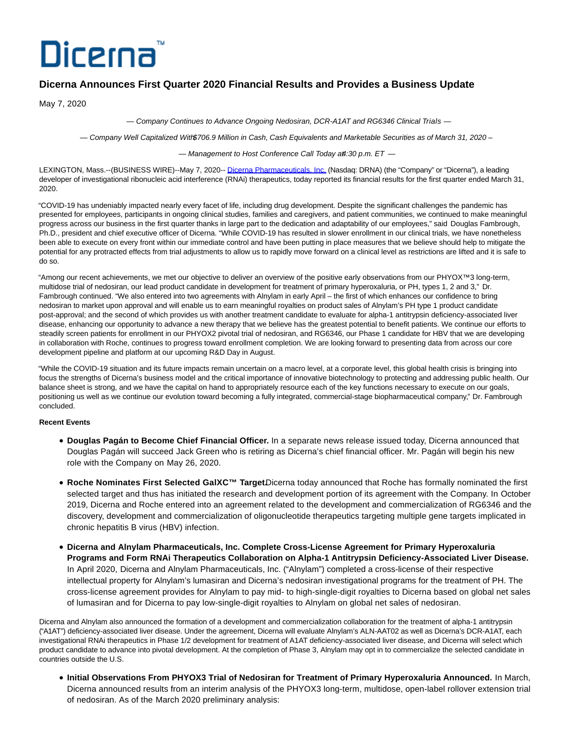# Dicerna

# **Dicerna Announces First Quarter 2020 Financial Results and Provides a Business Update**

May 7, 2020

— Company Continues to Advance Ongoing Nedosiran, DCR-A1AT and RG6346 Clinical Trials —

— Company Well Capitalized With \$706.9 Million in Cash, Cash Equivalents and Marketable Securities as of March 31, 2020 –

 $-$  Management to Host Conference Call Today at  $4:30$  p.m. ET  $-$ 

LEXINGTON, Mass.--(BUSINESS WIRE)--May 7, 2020-- [Dicerna Pharmaceuticals, Inc. \(](https://cts.businesswire.com/ct/CT?id=smartlink&url=http%3A%2F%2Fwww.dicerna.com&esheet=52217010&newsitemid=20200507006039&lan=en-US&anchor=Dicerna+Pharmaceuticals%2C+Inc.&index=1&md5=44a2dfd8eb7f0c7e908642a75bf491a2)Nasdaq: DRNA) (the "Company" or "Dicerna"), a leading developer of investigational ribonucleic acid interference (RNAi) therapeutics, today reported its financial results for the first quarter ended March 31, 2020.

"COVID-19 has undeniably impacted nearly every facet of life, including drug development. Despite the significant challenges the pandemic has presented for employees, participants in ongoing clinical studies, families and caregivers, and patient communities, we continued to make meaningful progress across our business in the first quarter thanks in large part to the dedication and adaptability of our employees," said Douglas Fambrough, Ph.D., president and chief executive officer of Dicerna. "While COVID-19 has resulted in slower enrollment in our clinical trials, we have nonetheless been able to execute on every front within our immediate control and have been putting in place measures that we believe should help to mitigate the potential for any protracted effects from trial adjustments to allow us to rapidly move forward on a clinical level as restrictions are lifted and it is safe to do so.

"Among our recent achievements, we met our objective to deliver an overview of the positive early observations from our PHYOX™3 long-term, multidose trial of nedosiran, our lead product candidate in development for treatment of primary hyperoxaluria, or PH, types 1, 2 and 3," Dr. Fambrough continued. "We also entered into two agreements with Alnylam in early April – the first of which enhances our confidence to bring nedosiran to market upon approval and will enable us to earn meaningful royalties on product sales of Alnylam's PH type 1 product candidate post-approval; and the second of which provides us with another treatment candidate to evaluate for alpha-1 antitrypsin deficiency-associated liver disease, enhancing our opportunity to advance a new therapy that we believe has the greatest potential to benefit patients. We continue our efforts to steadily screen patients for enrollment in our PHYOX2 pivotal trial of nedosiran, and RG6346, our Phase 1 candidate for HBV that we are developing in collaboration with Roche, continues to progress toward enrollment completion. We are looking forward to presenting data from across our core development pipeline and platform at our upcoming R&D Day in August.

"While the COVID-19 situation and its future impacts remain uncertain on a macro level, at a corporate level, this global health crisis is bringing into focus the strengths of Dicerna's business model and the critical importance of innovative biotechnology to protecting and addressing public health. Our balance sheet is strong, and we have the capital on hand to appropriately resource each of the key functions necessary to execute on our goals. positioning us well as we continue our evolution toward becoming a fully integrated, commercial-stage biopharmaceutical company," Dr. Fambrough concluded.

# **Recent Events**

- **Douglas Pagán to Become Chief Financial Officer.** In a separate news release issued today, Dicerna announced that Douglas Pagán will succeed Jack Green who is retiring as Dicerna's chief financial officer. Mr. Pagán will begin his new role with the Company on May 26, 2020.
- **Roche Nominates First Selected GalXC™ Target.** Dicerna today announced that Roche has formally nominated the first selected target and thus has initiated the research and development portion of its agreement with the Company. In October 2019, Dicerna and Roche entered into an agreement related to the development and commercialization of RG6346 and the discovery, development and commercialization of oligonucleotide therapeutics targeting multiple gene targets implicated in chronic hepatitis B virus (HBV) infection.
- **Dicerna and Alnylam Pharmaceuticals, Inc. Complete Cross-License Agreement for Primary Hyperoxaluria Programs and Form RNAi Therapeutics Collaboration on Alpha-1 Antitrypsin Deficiency-Associated Liver Disease.** In April 2020, Dicerna and Alnylam Pharmaceuticals, Inc. ("Alnylam") completed a cross-license of their respective intellectual property for Alnylam's lumasiran and Dicerna's nedosiran investigational programs for the treatment of PH. The cross-license agreement provides for Alnylam to pay mid- to high-single-digit royalties to Dicerna based on global net sales of lumasiran and for Dicerna to pay low-single-digit royalties to Alnylam on global net sales of nedosiran.

Dicerna and Alnylam also announced the formation of a development and commercialization collaboration for the treatment of alpha-1 antitrypsin ("A1AT") deficiency-associated liver disease. Under the agreement, Dicerna will evaluate Alnylam's ALN-AAT02 as well as Dicerna's DCR-A1AT, each investigational RNAi therapeutics in Phase 1/2 development for treatment of A1AT deficiency-associated liver disease, and Dicerna will select which product candidate to advance into pivotal development. At the completion of Phase 3, Alnylam may opt in to commercialize the selected candidate in countries outside the U.S.

**Initial Observations From PHYOX3 Trial of Nedosiran for Treatment of Primary Hyperoxaluria Announced.** In March, Dicerna announced results from an interim analysis of the PHYOX3 long-term, multidose, open-label rollover extension trial of nedosiran. As of the March 2020 preliminary analysis: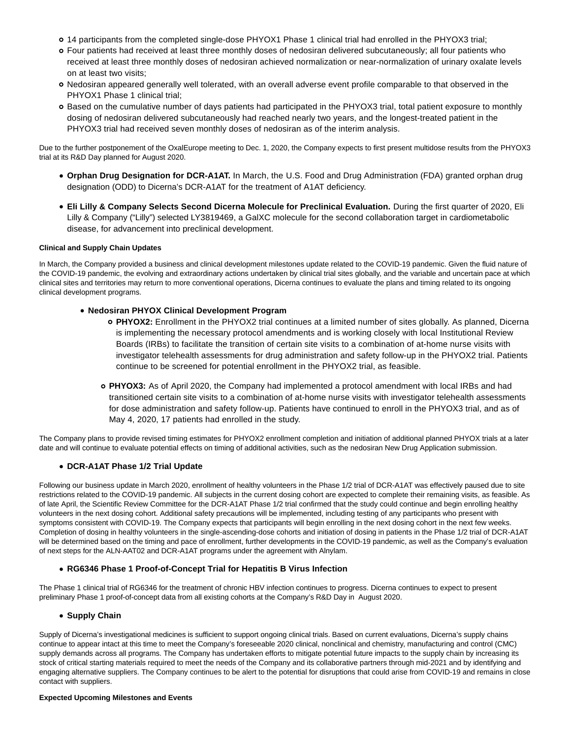- 14 participants from the completed single-dose PHYOX1 Phase 1 clinical trial had enrolled in the PHYOX3 trial;
- Four patients had received at least three monthly doses of nedosiran delivered subcutaneously; all four patients who received at least three monthly doses of nedosiran achieved normalization or near-normalization of urinary oxalate levels on at least two visits;
- Nedosiran appeared generally well tolerated, with an overall adverse event profile comparable to that observed in the PHYOX1 Phase 1 clinical trial;
- Based on the cumulative number of days patients had participated in the PHYOX3 trial, total patient exposure to monthly dosing of nedosiran delivered subcutaneously had reached nearly two years, and the longest-treated patient in the PHYOX3 trial had received seven monthly doses of nedosiran as of the interim analysis.

Due to the further postponement of the OxalEurope meeting to Dec. 1, 2020, the Company expects to first present multidose results from the PHYOX3 trial at its R&D Day planned for August 2020.

- **Orphan Drug Designation for DCR-A1AT.** In March, the U.S. Food and Drug Administration (FDA) granted orphan drug designation (ODD) to Dicerna's DCR-A1AT for the treatment of A1AT deficiency.
- **Eli Lilly & Company Selects Second Dicerna Molecule for Preclinical Evaluation.** During the first quarter of 2020, Eli Lilly & Company ("Lilly") selected LY3819469, a GalXC molecule for the second collaboration target in cardiometabolic disease, for advancement into preclinical development.

## **Clinical and Supply Chain Updates**

In March, the Company provided a business and clinical development milestones update related to the COVID-19 pandemic. Given the fluid nature of the COVID-19 pandemic, the evolving and extraordinary actions undertaken by clinical trial sites globally, and the variable and uncertain pace at which clinical sites and territories may return to more conventional operations, Dicerna continues to evaluate the plans and timing related to its ongoing clinical development programs.

# **Nedosiran PHYOX Clinical Development Program**

- **PHYOX2:** Enrollment in the PHYOX2 trial continues at a limited number of sites globally. As planned, Dicerna is implementing the necessary protocol amendments and is working closely with local Institutional Review Boards (IRBs) to facilitate the transition of certain site visits to a combination of at-home nurse visits with investigator telehealth assessments for drug administration and safety follow-up in the PHYOX2 trial. Patients continue to be screened for potential enrollment in the PHYOX2 trial, as feasible.
- **PHYOX3:** As of April 2020, the Company had implemented a protocol amendment with local IRBs and had transitioned certain site visits to a combination of at-home nurse visits with investigator telehealth assessments for dose administration and safety follow-up. Patients have continued to enroll in the PHYOX3 trial, and as of May 4, 2020, 17 patients had enrolled in the study.

The Company plans to provide revised timing estimates for PHYOX2 enrollment completion and initiation of additional planned PHYOX trials at a later date and will continue to evaluate potential effects on timing of additional activities, such as the nedosiran New Drug Application submission.

# **DCR-A1AT Phase 1/2 Trial Update**

Following our business update in March 2020, enrollment of healthy volunteers in the Phase 1/2 trial of DCR-A1AT was effectively paused due to site restrictions related to the COVID-19 pandemic. All subjects in the current dosing cohort are expected to complete their remaining visits, as feasible. As of late April, the Scientific Review Committee for the DCR-A1AT Phase 1/2 trial confirmed that the study could continue and begin enrolling healthy volunteers in the next dosing cohort. Additional safety precautions will be implemented, including testing of any participants who present with symptoms consistent with COVID-19. The Company expects that participants will begin enrolling in the next dosing cohort in the next few weeks. Completion of dosing in healthy volunteers in the single-ascending-dose cohorts and initiation of dosing in patients in the Phase 1/2 trial of DCR-A1AT will be determined based on the timing and pace of enrollment, further developments in the COVID-19 pandemic, as well as the Company's evaluation of next steps for the ALN-AAT02 and DCR-A1AT programs under the agreement with Alnylam.

# **RG6346 Phase 1 Proof-of-Concept Trial for Hepatitis B Virus Infection**

The Phase 1 clinical trial of RG6346 for the treatment of chronic HBV infection continues to progress. Dicerna continues to expect to present preliminary Phase 1 proof-of-concept data from all existing cohorts at the Company's R&D Day in August 2020.

# **• Supply Chain**

Supply of Dicerna's investigational medicines is sufficient to support ongoing clinical trials. Based on current evaluations, Dicerna's supply chains continue to appear intact at this time to meet the Company's foreseeable 2020 clinical, nonclinical and chemistry, manufacturing and control (CMC) supply demands across all programs. The Company has undertaken efforts to mitigate potential future impacts to the supply chain by increasing its stock of critical starting materials required to meet the needs of the Company and its collaborative partners through mid-2021 and by identifying and engaging alternative suppliers. The Company continues to be alert to the potential for disruptions that could arise from COVID-19 and remains in close contact with suppliers.

#### **Expected Upcoming Milestones and Events**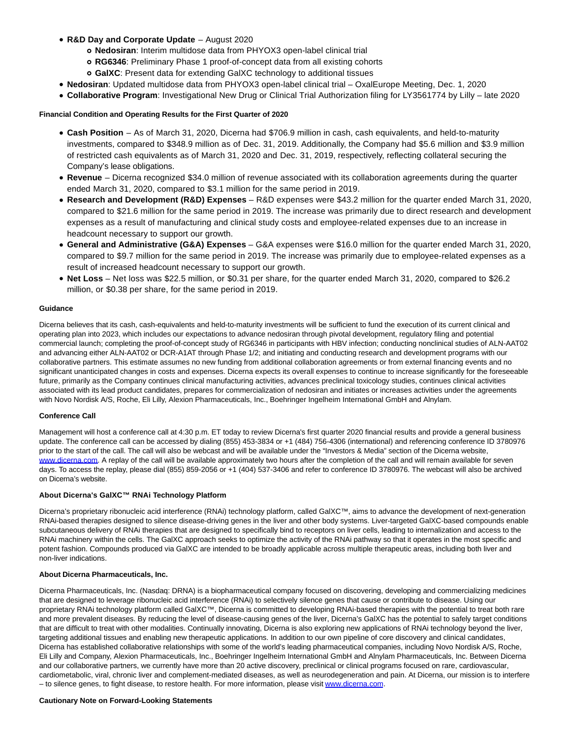- **R&D Day and Corporate Update**  August 2020
	- **Nedosiran**: Interim multidose data from PHYOX3 open-label clinical trial
	- **RG6346**: Preliminary Phase 1 proof-of-concept data from all existing cohorts
	- **GalXC**: Present data for extending GalXC technology to additional tissues
- **Nedosiran**: Updated multidose data from PHYOX3 open-label clinical trial OxalEurope Meeting, Dec. 1, 2020
- **Collaborative Program**: Investigational New Drug or Clinical Trial Authorization filing for LY3561774 by Lilly late 2020

## **Financial Condition and Operating Results for the First Quarter of 2020**

- **Cash Position**  As of March 31, 2020, Dicerna had \$706.9 million in cash, cash equivalents, and held-to-maturity investments, compared to \$348.9 million as of Dec. 31, 2019. Additionally, the Company had \$5.6 million and \$3.9 million of restricted cash equivalents as of March 31, 2020 and Dec. 31, 2019, respectively, reflecting collateral securing the Company's lease obligations.
- **Revenue**  Dicerna recognized \$34.0 million of revenue associated with its collaboration agreements during the quarter ended March 31, 2020, compared to \$3.1 million for the same period in 2019.
- **Research and Development (R&D) Expenses** R&D expenses were \$43.2 million for the quarter ended March 31, 2020, compared to \$21.6 million for the same period in 2019. The increase was primarily due to direct research and development expenses as a result of manufacturing and clinical study costs and employee-related expenses due to an increase in headcount necessary to support our growth.
- **General and Administrative (G&A) Expenses** G&A expenses were \$16.0 million for the quarter ended March 31, 2020, compared to \$9.7 million for the same period in 2019. The increase was primarily due to employee-related expenses as a result of increased headcount necessary to support our growth.
- **Net Loss** Net loss was \$22.5 million, or \$0.31 per share, for the quarter ended March 31, 2020, compared to \$26.2 million, or \$0.38 per share, for the same period in 2019.

#### **Guidance**

Dicerna believes that its cash, cash-equivalents and held-to-maturity investments will be sufficient to fund the execution of its current clinical and operating plan into 2023, which includes our expectations to advance nedosiran through pivotal development, regulatory filing and potential commercial launch; completing the proof-of-concept study of RG6346 in participants with HBV infection; conducting nonclinical studies of ALN-AAT02 and advancing either ALN-AAT02 or DCR-A1AT through Phase 1/2; and initiating and conducting research and development programs with our collaborative partners. This estimate assumes no new funding from additional collaboration agreements or from external financing events and no significant unanticipated changes in costs and expenses. Dicerna expects its overall expenses to continue to increase significantly for the foreseeable future, primarily as the Company continues clinical manufacturing activities, advances preclinical toxicology studies, continues clinical activities associated with its lead product candidates, prepares for commercialization of nedosiran and initiates or increases activities under the agreements with Novo Nordisk A/S, Roche, Eli Lilly, Alexion Pharmaceuticals, Inc., Boehringer Ingelheim International GmbH and Alnylam.

#### **Conference Call**

Management will host a conference call at 4:30 p.m. ET today to review Dicerna's first quarter 2020 financial results and provide a general business update. The conference call can be accessed by dialing (855) 453-3834 or +1 (484) 756-4306 (international) and referencing conference ID 3780976 prior to the start of the call. The call will also be webcast and will be available under the "Investors & Media" section of the Dicerna website, [www.dicerna.com.](https://cts.businesswire.com/ct/CT?id=smartlink&url=http%3A%2F%2Fwww.dicerna.com&esheet=52217010&newsitemid=20200507006039&lan=en-US&anchor=www.dicerna.com&index=2&md5=169ae907be75e82d68c1d83e6105a668) A replay of the call will be available approximately two hours after the completion of the call and will remain available for seven days. To access the replay, please dial (855) 859-2056 or +1 (404) 537-3406 and refer to conference ID 3780976. The webcast will also be archived on Dicerna's website.

#### **About Dicerna's GalXC™ RNAi Technology Platform**

Dicerna's proprietary ribonucleic acid interference (RNAi) technology platform, called GalXC™, aims to advance the development of next-generation RNAi-based therapies designed to silence disease-driving genes in the liver and other body systems. Liver-targeted GalXC-based compounds enable subcutaneous delivery of RNAi therapies that are designed to specifically bind to receptors on liver cells, leading to internalization and access to the RNAi machinery within the cells. The GalXC approach seeks to optimize the activity of the RNAi pathway so that it operates in the most specific and potent fashion. Compounds produced via GalXC are intended to be broadly applicable across multiple therapeutic areas, including both liver and non-liver indications.

#### **About Dicerna Pharmaceuticals, Inc.**

Dicerna Pharmaceuticals, Inc. (Nasdaq: DRNA) is a biopharmaceutical company focused on discovering, developing and commercializing medicines that are designed to leverage ribonucleic acid interference (RNAi) to selectively silence genes that cause or contribute to disease. Using our proprietary RNAi technology platform called GalXC™, Dicerna is committed to developing RNAi-based therapies with the potential to treat both rare and more prevalent diseases. By reducing the level of disease-causing genes of the liver, Dicerna's GalXC has the potential to safely target conditions that are difficult to treat with other modalities. Continually innovating, Dicerna is also exploring new applications of RNAi technology beyond the liver, targeting additional tissues and enabling new therapeutic applications. In addition to our own pipeline of core discovery and clinical candidates, Dicerna has established collaborative relationships with some of the world's leading pharmaceutical companies, including Novo Nordisk A/S, Roche, Eli Lilly and Company, Alexion Pharmaceuticals, Inc., Boehringer Ingelheim International GmbH and Alnylam Pharmaceuticals, Inc. Between Dicerna and our collaborative partners, we currently have more than 20 active discovery, preclinical or clinical programs focused on rare, cardiovascular, cardiometabolic, viral, chronic liver and complement-mediated diseases, as well as neurodegeneration and pain. At Dicerna, our mission is to interfere – to silence genes, to fight disease, to restore health. For more information, please visit [www.dicerna.com.](https://cts.businesswire.com/ct/CT?id=smartlink&url=http%3A%2F%2Fwww.dicerna.com&esheet=52217010&newsitemid=20200507006039&lan=en-US&anchor=www.dicerna.com&index=3&md5=1a801e3c043cd7721ec6aab6501da871)

#### **Cautionary Note on Forward-Looking Statements**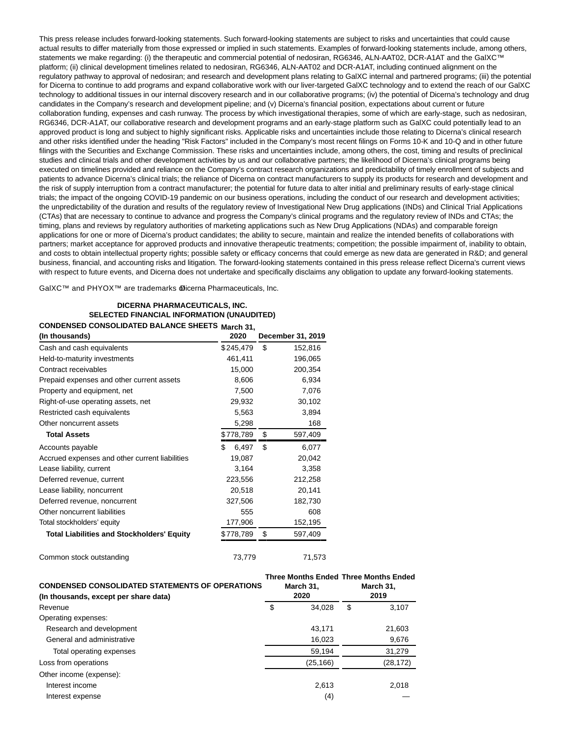This press release includes forward-looking statements. Such forward-looking statements are subject to risks and uncertainties that could cause actual results to differ materially from those expressed or implied in such statements. Examples of forward-looking statements include, among others, statements we make regarding: (i) the therapeutic and commercial potential of nedosiran, RG6346, ALN-AAT02, DCR-A1AT and the GalXC™ platform; (ii) clinical development timelines related to nedosiran, RG6346, ALN-AAT02 and DCR-A1AT, including continued alignment on the regulatory pathway to approval of nedosiran; and research and development plans relating to GalXC internal and partnered programs; (iii) the potential for Dicerna to continue to add programs and expand collaborative work with our liver-targeted GalXC technology and to extend the reach of our GalXC technology to additional tissues in our internal discovery research and in our collaborative programs; (iv) the potential of Dicerna's technology and drug candidates in the Company's research and development pipeline; and (v) Dicerna's financial position, expectations about current or future collaboration funding, expenses and cash runway. The process by which investigational therapies, some of which are early-stage, such as nedosiran, RG6346, DCR-A1AT, our collaborative research and development programs and an early-stage platform such as GalXC could potentially lead to an approved product is long and subject to highly significant risks. Applicable risks and uncertainties include those relating to Dicerna's clinical research and other risks identified under the heading "Risk Factors" included in the Company's most recent filings on Forms 10-K and 10-Q and in other future filings with the Securities and Exchange Commission. These risks and uncertainties include, among others, the cost, timing and results of preclinical studies and clinical trials and other development activities by us and our collaborative partners; the likelihood of Dicerna's clinical programs being executed on timelines provided and reliance on the Company's contract research organizations and predictability of timely enrollment of subjects and patients to advance Dicerna's clinical trials; the reliance of Dicerna on contract manufacturers to supply its products for research and development and the risk of supply interruption from a contract manufacturer; the potential for future data to alter initial and preliminary results of early-stage clinical trials; the impact of the ongoing COVID-19 pandemic on our business operations, including the conduct of our research and development activities; the unpredictability of the duration and results of the regulatory review of Investigational New Drug applications (INDs) and Clinical Trial Applications (CTAs) that are necessary to continue to advance and progress the Company's clinical programs and the regulatory review of INDs and CTAs; the timing, plans and reviews by regulatory authorities of marketing applications such as New Drug Applications (NDAs) and comparable foreign applications for one or more of Dicerna's product candidates; the ability to secure, maintain and realize the intended benefits of collaborations with partners; market acceptance for approved products and innovative therapeutic treatments; competition; the possible impairment of, inability to obtain, and costs to obtain intellectual property rights; possible safety or efficacy concerns that could emerge as new data are generated in R&D; and general business, financial, and accounting risks and litigation. The forward-looking statements contained in this press release reflect Dicerna's current views with respect to future events, and Dicerna does not undertake and specifically disclaims any obligation to update any forward-looking statements.

GalXC™ and PHYOX™ are trademarks **@icerna Pharmaceuticals**, Inc.

# **DICERNA PHARMACEUTICALS, INC. SELECTED FINANCIAL INFORMATION (UNAUDITED) CONDENSED CONSOLIDATED BALANCE SHEETS March 31,**

| (In thousands)                                    | 2020         | December 31, 2019 |
|---------------------------------------------------|--------------|-------------------|
| Cash and cash equivalents                         | \$245,479    | \$<br>152,816     |
| Held-to-maturity investments                      | 461,411      | 196,065           |
| Contract receivables                              | 15,000       | 200,354           |
| Prepaid expenses and other current assets         | 8,606        | 6,934             |
| Property and equipment, net                       | 7,500        | 7,076             |
| Right-of-use operating assets, net                | 29,932       | 30,102            |
| Restricted cash equivalents                       | 5,563        | 3,894             |
| Other noncurrent assets                           | 5,298        | 168               |
| <b>Total Assets</b>                               | \$778,789    | \$<br>597,409     |
| Accounts payable                                  | \$.<br>6,497 | \$<br>6,077       |
| Accrued expenses and other current liabilities    | 19,087       | 20,042            |
| Lease liability, current                          | 3,164        | 3,358             |
| Deferred revenue, current                         | 223,556      | 212,258           |
| Lease liability, noncurrent                       | 20,518       | 20,141            |
| Deferred revenue, noncurrent                      | 327,506      | 182,730           |
| Other noncurrent liabilities                      | 555          | 608               |
| Total stockholders' equity                        | 177,906      | 152,195           |
| <b>Total Liabilities and Stockholders' Equity</b> | \$778,789    | \$<br>597,409     |
|                                                   |              |                   |

Common stock outstanding Table 2008 73,779 71,573

| <b>CONDENSED CONSOLIDATED STATEMENTS OF OPERATIONS</b><br>(In thousands, except per share data) |    | March 31,<br>2020 |   | <b>Three Months Ended Three Months Ended</b><br>March 31,<br>2019 |  |
|-------------------------------------------------------------------------------------------------|----|-------------------|---|-------------------------------------------------------------------|--|
| Revenue                                                                                         | \$ | 34.028            | S | 3.107                                                             |  |
| Operating expenses:                                                                             |    |                   |   |                                                                   |  |
| Research and development                                                                        |    | 43.171            |   | 21,603                                                            |  |
| General and administrative                                                                      |    | 16,023            |   | 9,676                                                             |  |
| Total operating expenses                                                                        |    | 59,194            |   | 31,279                                                            |  |
| Loss from operations                                                                            |    | (25,166)          |   | (28, 172)                                                         |  |
| Other income (expense):                                                                         |    |                   |   |                                                                   |  |
| Interest income                                                                                 |    | 2.613             |   | 2.018                                                             |  |
| Interest expense                                                                                |    | (4)               |   |                                                                   |  |